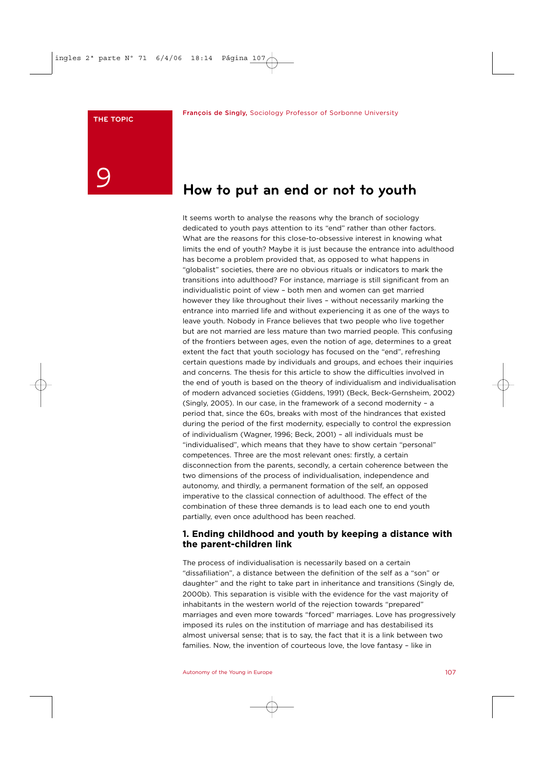# 9

# **How to put an end or not to youth**

It seems worth to analyse the reasons why the branch of sociology dedicated to youth pays attention to its "end" rather than other factors. What are the reasons for this close-to-obsessive interest in knowing what limits the end of youth? Maybe it is just because the entrance into adulthood has become a problem provided that, as opposed to what happens in "globalist" societies, there are no obvious rituals or indicators to mark the transitions into adulthood? For instance, marriage is still significant from an individualistic point of view – both men and women can get married however they like throughout their lives – without necessarily marking the entrance into married life and without experiencing it as one of the ways to leave youth. Nobody in France believes that two people who live together but are not married are less mature than two married people. This confusing of the frontiers between ages, even the notion of age, determines to a great extent the fact that youth sociology has focused on the "end", refreshing certain questions made by individuals and groups, and echoes their inquiries and concerns. The thesis for this article to show the difficulties involved in the end of youth is based on the theory of individualism and individualisation of modern advanced societies (Giddens, 1991) (Beck, Beck-Gernsheim, 2002) (Singly, 2005). In our case, in the framework of a second modernity – a period that, since the 60s, breaks with most of the hindrances that existed during the period of the first modernity, especially to control the expression of individualism (Wagner, 1996; Beck, 2001) – all individuals must be "individualised", which means that they have to show certain "personal" competences. Three are the most relevant ones: firstly, a certain disconnection from the parents, secondly, a certain coherence between the two dimensions of the process of individualisation, independence and autonomy, and thirdly, a permanent formation of the self, an opposed imperative to the classical connection of adulthood. The effect of the combination of these three demands is to lead each one to end youth partially, even once adulthood has been reached.

### **1. Ending childhood and youth by keeping a distance with the parent-children link**

The process of individualisation is necessarily based on a certain "dissafiliation", a distance between the definition of the self as a "son" or daughter" and the right to take part in inheritance and transitions (Singly de, 2000b). This separation is visible with the evidence for the vast majority of inhabitants in the western world of the rejection towards "prepared" marriages and even more towards "forced" marriages. Love has progressively imposed its rules on the institution of marriage and has destabilised its almost universal sense; that is to say, the fact that it is a link between two families. Now, the invention of courteous love, the love fantasy – like in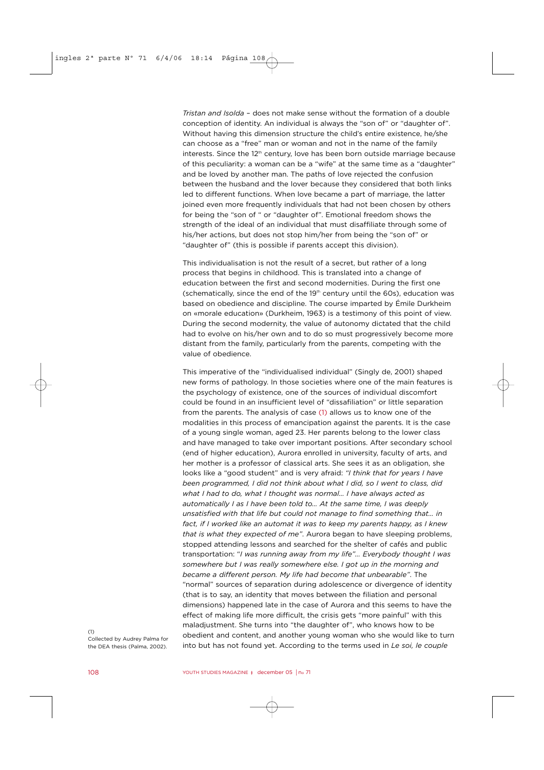*Tristan and Isolda* – does not make sense without the formation of a double conception of identity. An individual is always the "son of" or "daughter of". Without having this dimension structure the child's entire existence, he/she can choose as a "free" man or woman and not in the name of the family interests. Since the 12<sup>th</sup> century, love has been born outside marriage because of this peculiarity: a woman can be a "wife" at the same time as a "daughter" and be loved by another man. The paths of love rejected the confusion between the husband and the lover because they considered that both links led to different functions. When love became a part of marriage, the latter joined even more frequently individuals that had not been chosen by others for being the "son of " or "daughter of". Emotional freedom shows the strength of the ideal of an individual that must disaffiliate through some of his/her actions, but does not stop him/her from being the "son of" or "daughter of" (this is possible if parents accept this division).

This individualisation is not the result of a secret, but rather of a long process that begins in childhood. This is translated into a change of education between the first and second modernities. During the first one (schematically, since the end of the  $19<sup>th</sup>$  century until the 60s), education was based on obedience and discipline. The course imparted by Émile Durkheim on «morale education» (Durkheim, 1963) is a testimony of this point of view. During the second modernity, the value of autonomy dictated that the child had to evolve on his/her own and to do so must progressively become more distant from the family, particularly from the parents, competing with the value of obedience.

This imperative of the "individualised individual" (Singly de, 2001) shaped new forms of pathology. In those societies where one of the main features is the psychology of existence, one of the sources of individual discomfort could be found in an insufficient level of "dissafiliation" or little separation from the parents. The analysis of case (1) allows us to know one of the modalities in this process of emancipation against the parents. It is the case of a young single woman, aged 23. Her parents belong to the lower class and have managed to take over important positions. After secondary school (end of higher education), Aurora enrolled in university, faculty of arts, and her mother is a professor of classical arts. She sees it as an obligation, she looks like a "good student" and is very afraid: *"I think that for years I have been programmed, I did not think about what I did, so I went to class, did what I had to do, what I thought was normal… I have always acted as automatically I as I have been told to… At the same time, I was deeply unsatisfied with that life but could not manage to find something that… in fact, if I worked like an automat it was to keep my parents happy, as I knew that is what they expected of me"*. Aurora began to have sleeping problems, stopped attending lessons and searched for the shelter of cafés and public transportation: "*I was running away from my life"… Everybody thought I was somewhere but I was really somewhere else. I got up in the morning and became a different person. My life had become that unbearable"*. The "normal" sources of separation during adolescence or divergence of identity (that is to say, an identity that moves between the filiation and personal dimensions) happened late in the case of Aurora and this seems to have the effect of making life more difficult, the crisis gets "more painful" with this maladjustment. She turns into "the daughter of", who knows how to be obedient and content, and another young woman who she would like to turn into but has not found yet. According to the terms used in *Le soi, le couple*

(1) Collected by Audrey Palma for the DEA thesis (Palma, 2002).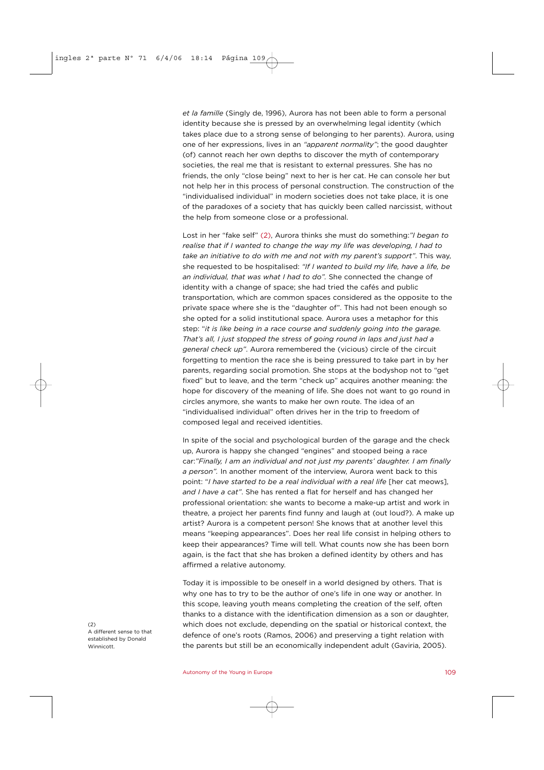*et la famille* (Singly de, 1996), Aurora has not been able to form a personal identity because she is pressed by an overwhelming legal identity (which takes place due to a strong sense of belonging to her parents). Aurora, using one of her expressions, lives in an *"apparent normality"*; the good daughter (of) cannot reach her own depths to discover the myth of contemporary societies, the real me that is resistant to external pressures. She has no friends, the only "close being" next to her is her cat. He can console her but not help her in this process of personal construction. The construction of the "individualised individual" in modern societies does not take place, it is one of the paradoxes of a society that has quickly been called narcissist, without the help from someone close or a professional.

Lost in her "fake self" (2), Aurora thinks she must do something:*"I began to realise that if I wanted to change the way my life was developing, I had to take an initiative to do with me and not with my parent's support"*. This way, she requested to be hospitalised: *"If I wanted to build my life, have a life, be an individual, that was what I had to do".* She connected the change of identity with a change of space; she had tried the cafés and public transportation, which are common spaces considered as the opposite to the private space where she is the "daughter of". This had not been enough so she opted for a solid institutional space. Aurora uses a metaphor for this step: "*it is like being in a race course and suddenly going into the garage. That's all, I just stopped the stress of going round in laps and just had a general check up"*. Aurora remembered the (vicious) circle of the circuit forgetting to mention the race she is being pressured to take part in by her parents, regarding social promotion. She stops at the bodyshop not to "get fixed" but to leave, and the term "check up" acquires another meaning: the hope for discovery of the meaning of life. She does not want to go round in circles anymore, she wants to make her own route. The idea of an "individualised individual" often drives her in the trip to freedom of composed legal and received identities.

In spite of the social and psychological burden of the garage and the check up, Aurora is happy she changed "engines" and stooped being a race car:*"Finally, I am an individual and not just my parents' daughter. I am finally a person".* In another moment of the interview, Aurora went back to this point: "*I have started to be a real individual with a real life* [her cat meows], *and I have a cat"*. She has rented a flat for herself and has changed her professional orientation: she wants to become a make-up artist and work in theatre, a project her parents find funny and laugh at (out loud?). A make up artist? Aurora is a competent person! She knows that at another level this means "keeping appearances". Does her real life consist in helping others to keep their appearances? Time will tell. What counts now she has been born again, is the fact that she has broken a defined identity by others and has affirmed a relative autonomy.

Today it is impossible to be oneself in a world designed by others. That is why one has to try to be the author of one's life in one way or another. In this scope, leaving youth means completing the creation of the self, often thanks to a distance with the identification dimension as a son or daughter, which does not exclude, depending on the spatial or historical context, the defence of one's roots (Ramos, 2006) and preserving a tight relation with the parents but still be an economically independent adult (Gaviria, 2005).

 $(2)$ A different sense to that established by Donald Winnicott.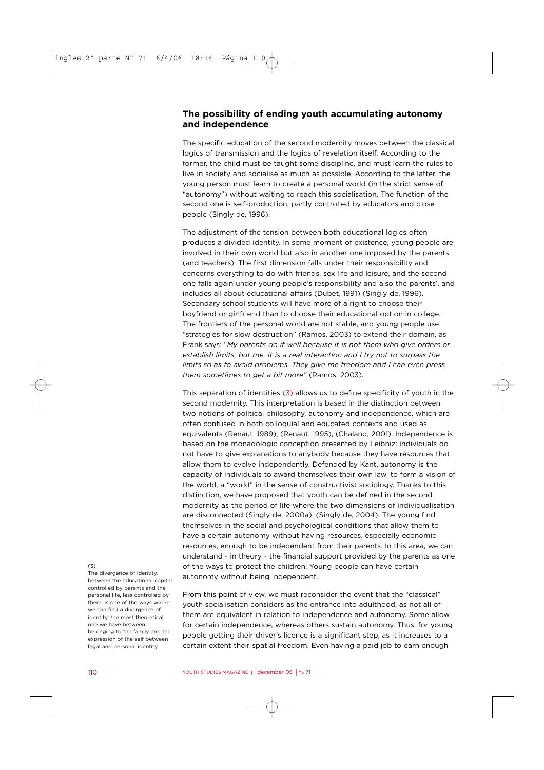#### **The possibility of ending youth accumulating autonomy and independence**

The specific education of the second modernity moves between the classical logics of transmission and the logics of revelation itself. According to the former, the child must be taught some discipline, and must learn the rules to live in society and socialise as much as possible. According to the latter, the young person must learn to create a personal world (in the strict sense of "autonomy") without waiting to reach this socialisation. The function of the second one is self-production, partly controlled by educators and close people (Singly de, 1996).

The adjustment of the tension between both educational logics often produces a divided identity. In some moment of existence, young people are involved in their own world but also in another one imposed by the parents (and teachers). The first dimension falls under their responsibility and concerns everything to do with friends, sex life and leisure, and the second one falls again under young people's responsibility and also the parents', and includes all about educational affairs (Dubet, 1991) (Singly de, 1996). Secondary school students will have more of a right to choose their boyfriend or girlfriend than to choose their educational option in college. The frontiers of the personal world are not stable, and young people use "strategies for slow destruction" (Ramos, 2003) to extend their domain, as Frank says: "*My parents do it well because it is not them who give orders or establish limits, but me. It is a real interaction and I try not to surpass the limits so as to avoid problems. They give me freedom and I can even press them sometimes to get a bit more"* (Ramos, 2003).

This separation of identities (3) allows us to define specificity of youth in the second modernity. This interpretation is based in the distinction between two notions of political philosophy, autonomy and independence, which are often confused in both colloquial and educated contexts and used as equivalents (Renaut, 1989), (Renaut, 1995), (Chaland, 2001). Independence is based on the monadologic conception presented by Leibniz: individuals do not have to give explanations to anybody because they have resources that allow them to evolve independently. Defended by Kant, autonomy is the capacity of individuals to award themselves their own law, to form a vision of the world, a "world" in the sense of constructivist sociology. Thanks to this distinction, we have proposed that youth can be defined in the second modernity as the period of life where the two dimensions of individualisation are disconnected (Singly de, 2000a), (Singly de, 2004). The young find themselves in the social and psychological conditions that allow them to have a certain autonomy without having resources, especially economic resources, enough to be independent from their parents. In this area, we can understand - in theory - the financial support provided by the parents as one of the ways to protect the children. Young people can have certain autonomy without being independent.

#### From this point of view, we must reconsider the event that the "classical" youth socialisation considers as the entrance into adulthood, as not all of them are equivalent in relation to independence and autonomy. Some allow for certain independence, whereas others sustain autonomy. Thus, for young people getting their driver's licence is a significant step, as it increases to a certain extent their spatial freedom. Even having a paid job to earn enough

#### $(3)$

The divergence of identity, between the educational capital controlled by parents and the personal life, less controlled by them, is one of the ways where we can find a divergence of identity, the most theoretical one we have between belonging to the family and the expression of the self between legal and personal identity.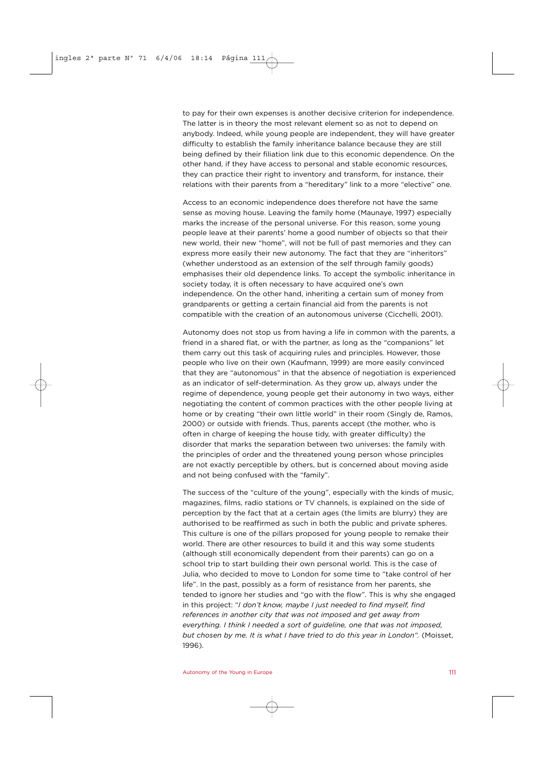to pay for their own expenses is another decisive criterion for independence. The latter is in theory the most relevant element so as not to depend on anybody. Indeed, while young people are independent, they will have greater difficulty to establish the family inheritance balance because they are still being defined by their filiation link due to this economic dependence. On the other hand, if they have access to personal and stable economic resources, they can practice their right to inventory and transform, for instance, their relations with their parents from a "hereditary" link to a more "elective" one.

Access to an economic independence does therefore not have the same sense as moving house. Leaving the family home (Maunaye, 1997) especially marks the increase of the personal universe. For this reason, some young people leave at their parents' home a good number of objects so that their new world, their new "home", will not be full of past memories and they can express more easily their new autonomy. The fact that they are "inheritors" (whether understood as an extension of the self through family goods) emphasises their old dependence links. To accept the symbolic inheritance in society today, it is often necessary to have acquired one's own independence. On the other hand, inheriting a certain sum of money from grandparents or getting a certain financial aid from the parents is not compatible with the creation of an autonomous universe (Cicchelli, 2001).

Autonomy does not stop us from having a life in common with the parents, a friend in a shared flat, or with the partner, as long as the "companions" let them carry out this task of acquiring rules and principles. However, those people who live on their own (Kaufmann, 1999) are more easily convinced that they are "autonomous" in that the absence of negotiation is experienced as an indicator of self-determination. As they grow up, always under the regime of dependence, young people get their autonomy in two ways, either negotiating the content of common practices with the other people living at home or by creating "their own little world" in their room (Singly de, Ramos, 2000) or outside with friends. Thus, parents accept (the mother, who is often in charge of keeping the house tidy, with greater difficulty) the disorder that marks the separation between two universes: the family with the principles of order and the threatened young person whose principles are not exactly perceptible by others, but is concerned about moving aside and not being confused with the "family".

The success of the "culture of the young", especially with the kinds of music, magazines, films, radio stations or TV channels, is explained on the side of perception by the fact that at a certain ages (the limits are blurry) they are authorised to be reaffirmed as such in both the public and private spheres. This culture is one of the pillars proposed for young people to remake their world. There are other resources to build it and this way some students (although still economically dependent from their parents) can go on a school trip to start building their own personal world. This is the case of Julia, who decided to move to London for some time to "take control of her life". In the past, possibly as a form of resistance from her parents, she tended to ignore her studies and "go with the flow". This is why she engaged in this project: "*I don't know, maybe I just needed to find myself, find references in another city that was not imposed and get away from everything. I think I needed a sort of guideline, one that was not imposed, but chosen by me. It is what I have tried to do this year in London".* (Moisset, 1996).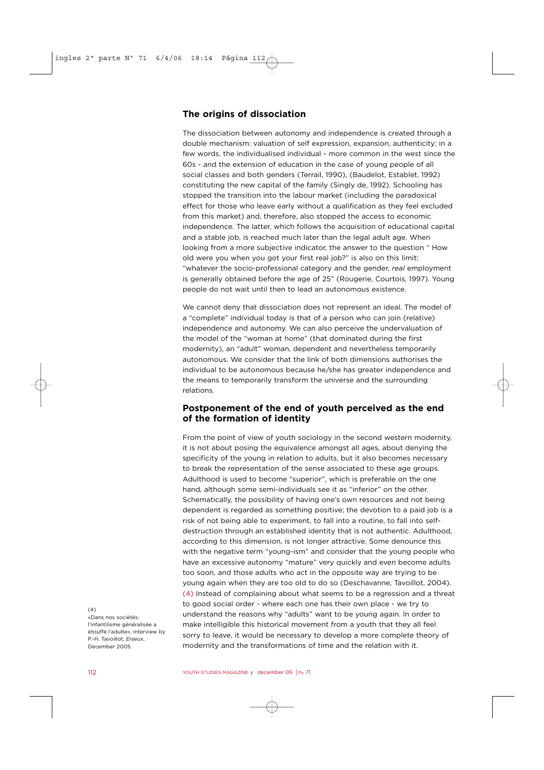### **The origins of dissociation**

The dissociation between autonomy and independence is created through a double mechanism: valuation of self expression, expansion, authenticity; in a few words, the individualised individual - more common in the west since the 60s - and the extension of education in the case of young people of all social classes and both genders (Terrail, 1990), (Baudelot, Establet, 1992) constituting the new capital of the family (Singly de, 1992). Schooling has stopped the transition into the labour market (including the paradoxical effect for those who leave early without a qualification as they feel excluded from this market) and, therefore, also stopped the access to economic independence. The latter, which follows the acquisition of educational capital and a stable job, is reached much later than the legal adult age. When looking from a more subjective indicator, the answer to the question " How old were you when you got your first real job?" is also on this limit: "whatever the socio-professional category and the gender, *real* employment is generally obtained before the age of 25" (Rougerie, Courtois, 1997). Young people do not wait until then to lead an autonomous existence.

We cannot deny that dissociation does not represent an ideal. The model of a "complete" individual today is that of a person who can join (relative) independence and autonomy. We can also perceive the undervaluation of the model of the "woman at home" (that dominated during the first modernity), an "adult" woman, dependent and nevertheless temporarily autonomous. We consider that the link of both dimensions authorises the individual to be autonomous because he/she has greater independence and the means to temporarily transform the universe and the surrounding relations.

## **Postponement of the end of youth perceived as the end of the formation of identity**

From the point of view of youth sociology in the second western modernity, it is not about posing the equivalence amongst all ages, about denying the specificity of the young in relation to adults, but it also becomes necessary to break the representation of the sense associated to these age groups. Adulthood is used to become "superior", which is preferable on the one hand, although some semi-individuals see it as "inferior" on the other. Schematically, the possibility of having one's own resources and not being dependent is regarded as something positive; the devotion to a paid job is a risk of not being able to experiment, to fall into a routine, to fall into selfdestruction through an established identity that is not authentic. Adulthood, according to this dimension, is not longer attractive. Some denounce this with the negative term "young-ism" and consider that the young people who have an excessive autonomy "mature" very quickly and even become adults too soon, and those adults who act in the opposite way are trying to be young again when they are too old to do so (Deschavanne, Tavoillot, 2004). (4) Instead of complaining about what seems to be a regression and a threat to good social order - where each one has their own place - we try to understand the reasons why "adults" want to be young again. In order to make intelligible this historical movement from a youth that they all feel sorry to leave, it would be necessary to develop a more complete theory of modernity and the transformations of time and the relation with it.

 $(4)$ «Dans nos sociétés: l'infantilisme généralisée a étouffé l'adulte», interview by P.-H. Tavoillot, *Enjeux*, December 2005.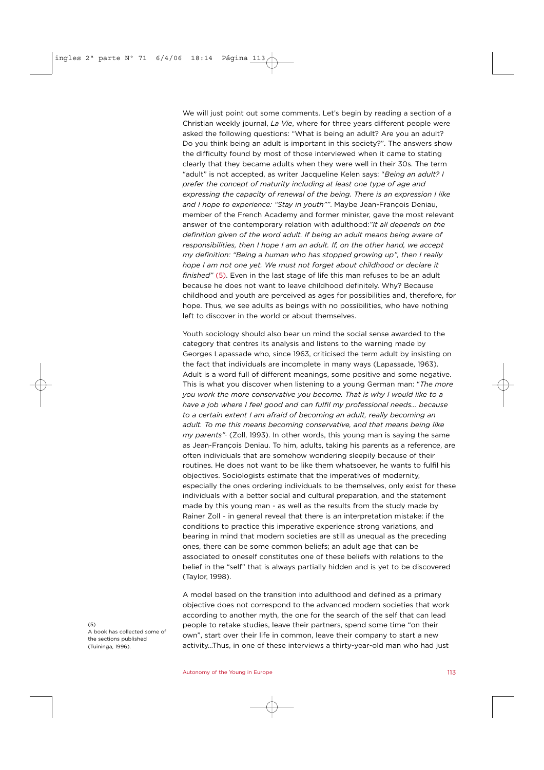We will just point out some comments. Let's begin by reading a section of a Christian weekly journal, *La Vie*, where for three years different people were asked the following questions: "What is being an adult? Are you an adult? Do you think being an adult is important in this society?". The answers show the difficulty found by most of those interviewed when it came to stating clearly that they became adults when they were well in their 30s. The term "adult" is not accepted, as writer Jacqueline Kelen says: "*Being an adult? I prefer the concept of maturity including at least one type of age and expressing the capacity of renewal of the being. There is an expression I like and I hope to experience: "Stay in youth""*. Maybe Jean-François Deniau, member of the French Academy and former minister, gave the most relevant answer of the contemporary relation with adulthood:*"It all depends on the definition given of the word adult. If being an adult means being aware of responsibilities, then I hope I am an adult. If, on the other hand, we accept my definition: "Being a human who has stopped growing up", then I really hope I am not one yet. We must not forget about childhood or declare it finished"* (5). Even in the last stage of life this man refuses to be an adult because he does not want to leave childhood definitely. Why? Because childhood and youth are perceived as ages for possibilities and, therefore, for hope. Thus, we see adults as beings with no possibilities, who have nothing left to discover in the world or about themselves.

Youth sociology should also bear un mind the social sense awarded to the category that centres its analysis and listens to the warning made by Georges Lapassade who, since 1963, criticised the term adult by insisting on the fact that individuals are incomplete in many ways (Lapassade, 1963). Adult is a word full of different meanings, some positive and some negative. This is what you discover when listening to a young German man: "*The more you work the more conservative you become. That is why I would like to a have a job where I feel good and can fulfil my professional needs… because to a certain extent I am afraid of becoming an adult, really becoming an adult. To me this means becoming conservative, and that means being like my parents"·* (Zoll, 1993). In other words, this young man is saying the same as Jean-François Deniau. To him, adults, taking his parents as a reference, are often individuals that are somehow wondering sleepily because of their routines. He does not want to be like them whatsoever, he wants to fulfil his objectives. Sociologists estimate that the imperatives of modernity, especially the ones ordering individuals to be themselves, only exist for these individuals with a better social and cultural preparation, and the statement made by this young man - as well as the results from the study made by Rainer Zoll - in general reveal that there is an interpretation mistake: if the conditions to practice this imperative experience strong variations, and bearing in mind that modern societies are still as unequal as the preceding ones, there can be some common beliefs; an adult age that can be associated to oneself constitutes one of these beliefs with relations to the belief in the "self" that is always partially hidden and is yet to be discovered (Taylor, 1998).

A model based on the transition into adulthood and defined as a primary objective does not correspond to the advanced modern societies that work according to another myth, the one for the search of the self that can lead people to retake studies, leave their partners, spend some time "on their own", start over their life in common, leave their company to start a new activity…Thus, in one of these interviews a thirty-year-old man who had just

 $(5)$ A book has collected some of the sections published (Tuininga, 1996).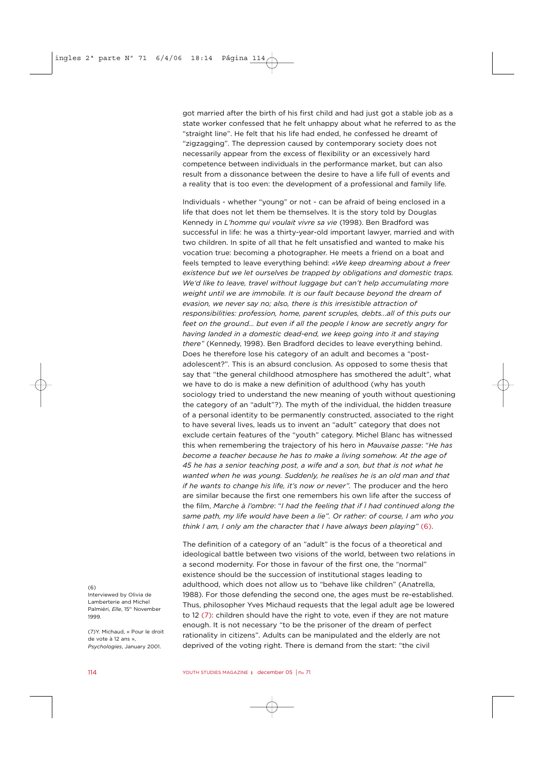got married after the birth of his first child and had just got a stable job as a state worker confessed that he felt unhappy about what he referred to as the "straight line". He felt that his life had ended, he confessed he dreamt of "zigzagging". The depression caused by contemporary society does not necessarily appear from the excess of flexibility or an excessively hard competence between individuals in the performance market, but can also result from a dissonance between the desire to have a life full of events and a reality that is too even: the development of a professional and family life.

Individuals - whether "young" or not - can be afraid of being enclosed in a life that does not let them be themselves. It is the story told by Douglas Kennedy in *L'homme qui voulait vivre sa vie* (1998). Ben Bradford was successful in life: he was a thirty-year-old important lawyer, married and with two children. In spite of all that he felt unsatisfied and wanted to make his vocation true: becoming a photographer. He meets a friend on a boat and feels tempted to leave everything behind: *«We keep dreaming about a freer existence but we let ourselves be trapped by obligations and domestic traps. We'd like to leave, travel without luggage but can't help accumulating more weight until we are immobile. It is our fault because beyond the dream of evasion, we never say no; also, there is this irresistible attraction of responsibilities: profession, home, parent scruples, debts...all of this puts our feet on the ground… but even if all the people I know are secretly angry for having landed in a domestic dead-end, we keep going into it and staying there"* (Kennedy, 1998). Ben Bradford decides to leave everything behind. Does he therefore lose his category of an adult and becomes a "postadolescent?". This is an absurd conclusion. As opposed to some thesis that say that "the general childhood atmosphere has smothered the adult", what we have to do is make a new definition of adulthood (why has youth sociology tried to understand the new meaning of youth without questioning the category of an "adult"?). The myth of the individual, the hidden treasure of a personal identity to be permanently constructed, associated to the right to have several lives, leads us to invent an "adult" category that does not exclude certain features of the "youth" category. Michel Blanc has witnessed this when remembering the trajectory of his hero in *Mauvaise passe*: "*He has become a teacher because he has to make a living somehow. At the age of 45 he has a senior teaching post, a wife and a son, but that is not what he wanted when he was young. Suddenly, he realises he is an old man and that if he wants to change his life, it's now or never".* The producer and the hero are similar because the first one remembers his own life after the success of the film, *Marche à l'ombre*: "*I had the feeling that if I had continued along the same path, my life would have been a lie". Or rather: of course, I am who you think I am, I only am the character that I have always been playing"* (6).

The definition of a category of an "adult" is the focus of a theoretical and ideological battle between two visions of the world, between two relations in a second modernity. For those in favour of the first one, the "normal" existence should be the succession of institutional stages leading to adulthood, which does not allow us to "behave like children" (Anatrella, 1988). For those defending the second one, the ages must be re-established. Thus, philosopher Yves Michaud requests that the legal adult age be lowered to 12 (7): children should have the right to vote, even if they are not mature enough. It is not necessary "to be the prisoner of the dream of perfect rationality in citizens". Adults can be manipulated and the elderly are not deprived of the voting right. There is demand from the start: "the civil

 $(6)$ Interviewed by Olivia de Lamberterie and Michel Palmiéri, *Elle*, 15th November 1999.

(7)Y. Michaud, « Pour le droit de vote à 12 ans », *Psychologies*, January 2001.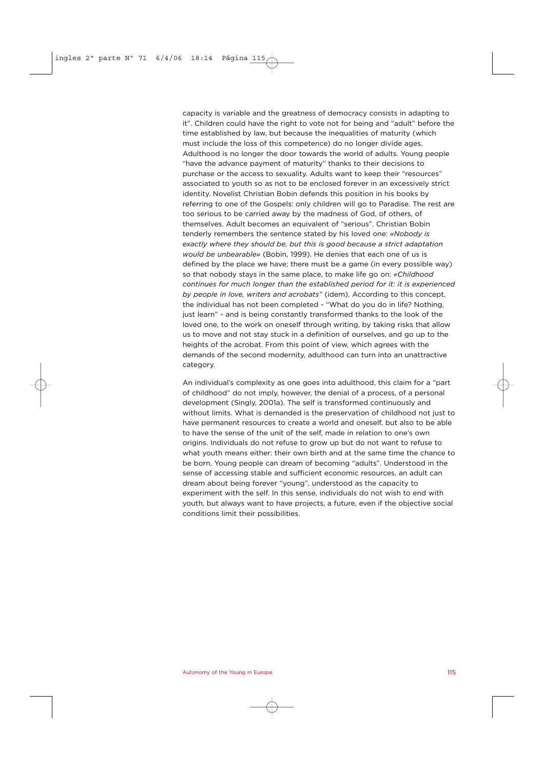capacity is variable and the greatness of democracy consists in adapting to it". Children could have the right to vote not for being and "adult" before the time established by law, but because the inequalities of maturity (which must include the loss of this competence) do no longer divide ages. Adulthood is no longer the door towards the world of adults. Young people "have the advance payment of maturity" thanks to their decisions to purchase or the access to sexuality. Adults want to keep their "resources" associated to youth so as not to be enclosed forever in an excessively strict identity. Novelist Christian Bobin defends this position in his books by referring to one of the Gospels: only children will go to Paradise. The rest are too serious to be carried away by the madness of God, of others, of themselves. Adult becomes an equivalent of "serious". Christian Bobin tenderly remembers the sentence stated by his loved one: *«Nobody is exactly where they should be, but this is good because a strict adaptation would be unbearable»* (Bobin, 1999). He denies that each one of us is defined by the place we have; there must be a game (in every possible way) so that nobody stays in the same place, to make life go on: *«Childhood continues for much longer than the established period for it: it is experienced by people in love, writers and acrobats"* (idem). According to this concept, the individual has not been completed - "What do you do in life? Nothing, just learn" - and is being constantly transformed thanks to the look of the loved one, to the work on oneself through writing, by taking risks that allow us to move and not stay stuck in a definition of ourselves, and go up to the heights of the acrobat. From this point of view, which agrees with the demands of the second modernity, adulthood can turn into an unattractive category.

An individual's complexity as one goes into adulthood, this claim for a "part of childhood" do not imply, however, the denial of a process, of a personal development (Singly, 2001a). The self is transformed continuously and without limits. What is demanded is the preservation of childhood not just to have permanent resources to create a world and oneself, but also to be able to have the sense of the unit of the self, made in relation to one's own origins. Individuals do not refuse to grow up but do not want to refuse to what youth means either: their own birth and at the same time the chance to be born. Young people can dream of becoming "adults". Understood in the sense of accessing stable and sufficient economic resources, an adult can dream about being forever "young", understood as the capacity to experiment with the self. In this sense, individuals do not wish to end with youth, but always want to have projects, a future, even if the objective social conditions limit their possibilities.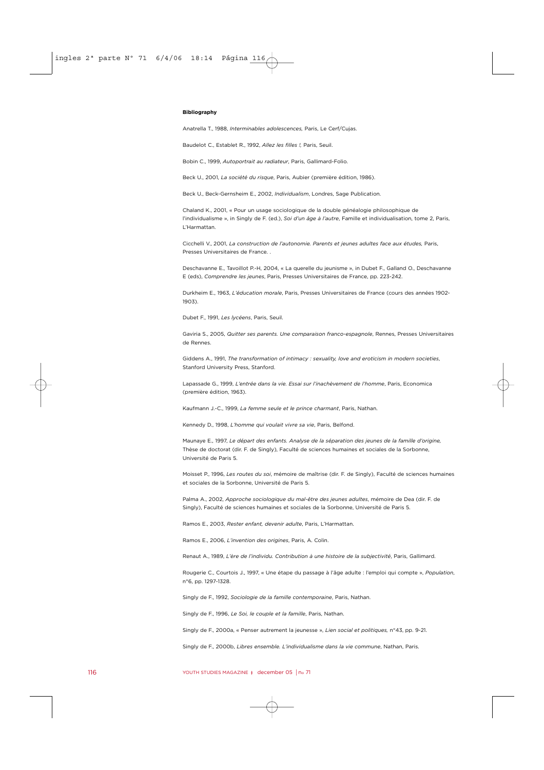#### **Bibliography**

Anatrella T., 1988, *Interminables adolescences,* Paris, Le Cerf/Cujas.

Baudelot C., Establet R., 1992, *Allez les filles !,* Paris, Seuil.

Bobin C., 1999, *Autoportrait au radiateur*, Paris, Gallimard-Folio.

Beck U., 2001, *La société du risque*, Paris, Aubier (première édition, 1986).

Beck U., Beck-Gernsheim E., 2002, *Individualism*, Londres, Sage Publication.

Chaland K., 2001, « Pour un usage sociologique de la double généalogie philosophique de l'individualisme », in Singly de F. (ed.), *Soi d'un âge à l'autre*, Famille et individualisation, tome 2, Paris, L'Harmattan.

Cicchelli V., 2001, *La construction de l'autonomie. Parents et jeunes adultes face aux études,* Paris, Presses Universitaires de France. .

Deschavanne E., Tavoillot P.-H, 2004, « La querelle du jeunisme », in Dubet F., Galland O., Deschavanne E (eds), *Comprendre les jeunes*, Paris, Presses Universitaires de France, pp. 223-242.

Durkheim E., 1963, *L'éducation morale*, Paris, Presses Universitaires de France (cours des années 1902- 1903).

Dubet F., 1991, *Les lycéens*, Paris, Seuil.

Gaviria S., 2005, *Quitter ses parents. Une comparaison franco-espagnole*, Rennes, Presses Universitaires de Rennes.

Giddens A., 1991, *The transformation of intimacy : sexuality, love and eroticism in modern societies*, Stanford University Press, Stanford.

Lapassade G., 1999, *L'entrée dans la vie. Essai sur l'inachèvement de l'homme*, Paris, Economica (première édition, 1963).

Kaufmann J.-C., 1999, *La femme seule et le prince charmant*, Paris, Nathan.

Kennedy D., 1998, *L'homme qui voulait vivre sa vie*, Paris, Belfond.

Maunaye E., 1997, *Le départ des enfants. Analyse de la séparation des jeunes de la famille d'origine,* Thèse de doctorat (dir. F. de Singly), Faculté de sciences humaines et sociales de la Sorbonne, Université de Paris 5.

Moisset P., 1996, *Les routes du soi*, mémoire de maîtrise (dir. F. de Singly), Faculté de sciences humaines et sociales de la Sorbonne, Université de Paris 5.

Palma A., 2002, *Approche sociologique du mal-être des jeunes adultes*, mémoire de Dea (dir. F. de Singly), Faculté de sciences humaines et sociales de la Sorbonne, Université de Paris 5.

Ramos E., 2003, *Rester enfant, devenir adulte*, Paris, L'Harmattan.

Ramos E., 2006, *L'invention des origines*, Paris, A. Colin.

Renaut A., 1989, *L'ère de l'individu. Contribution à une histoire de la subjectivité*, Paris, Gallimard.

Rougerie C., Courtois J., 1997, « Une étape du passage à l'âge adulte : l'emploi qui compte », *Population*, n°6, pp. 1297-1328.

Singly de F., 1992, *Sociologie de la famille contemporaine*, Paris, Nathan.

Singly de F., 1996, *Le Soi, le couple et la famille*, Paris, Nathan.

Singly de F., 2000a, « Penser autrement la jeunesse », *Lien social et politiques,* n°43, pp. 9-21.

Singly de F., 2000b, *Libres ensemble. L'individualisme dans la vie commune*, Nathan, Paris.